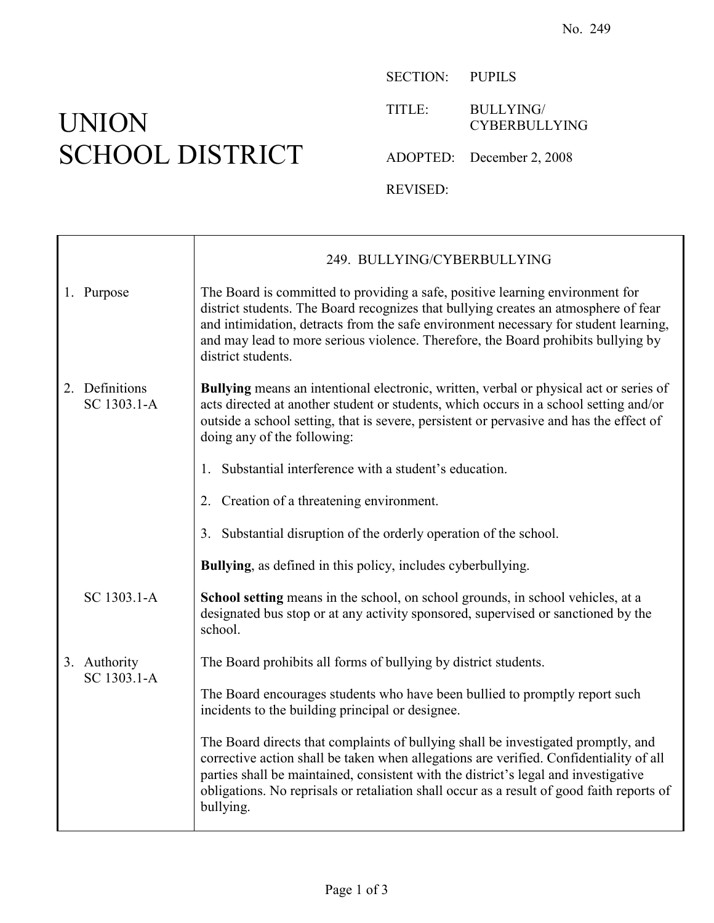## UNION SCHOOL DISTRICT

SECTION: PUPILS

TITLE: BULLYING/ CYBERBULLYING

ADOPTED: December 2, 2008

REVISED:

|  |                               | 249. BULLYING/CYBERBULLYING                                                                                                                                                                                                                                                                                                                                                  |
|--|-------------------------------|------------------------------------------------------------------------------------------------------------------------------------------------------------------------------------------------------------------------------------------------------------------------------------------------------------------------------------------------------------------------------|
|  | 1. Purpose                    | The Board is committed to providing a safe, positive learning environment for<br>district students. The Board recognizes that bullying creates an atmosphere of fear<br>and intimidation, detracts from the safe environment necessary for student learning,<br>and may lead to more serious violence. Therefore, the Board prohibits bullying by<br>district students.      |
|  | 2. Definitions<br>SC 1303.1-A | <b>Bullying</b> means an intentional electronic, written, verbal or physical act or series of<br>acts directed at another student or students, which occurs in a school setting and/or<br>outside a school setting, that is severe, persistent or pervasive and has the effect of<br>doing any of the following:                                                             |
|  |                               | Substantial interference with a student's education.<br>1.                                                                                                                                                                                                                                                                                                                   |
|  |                               | 2. Creation of a threatening environment.                                                                                                                                                                                                                                                                                                                                    |
|  |                               | 3. Substantial disruption of the orderly operation of the school.                                                                                                                                                                                                                                                                                                            |
|  |                               | <b>Bullying</b> , as defined in this policy, includes cyberbullying.                                                                                                                                                                                                                                                                                                         |
|  | SC 1303.1-A                   | School setting means in the school, on school grounds, in school vehicles, at a<br>designated bus stop or at any activity sponsored, supervised or sanctioned by the<br>school.                                                                                                                                                                                              |
|  | 3. Authority<br>SC 1303.1-A   | The Board prohibits all forms of bullying by district students.                                                                                                                                                                                                                                                                                                              |
|  |                               | The Board encourages students who have been bullied to promptly report such<br>incidents to the building principal or designee.                                                                                                                                                                                                                                              |
|  |                               | The Board directs that complaints of bullying shall be investigated promptly, and<br>corrective action shall be taken when allegations are verified. Confidentiality of all<br>parties shall be maintained, consistent with the district's legal and investigative<br>obligations. No reprisals or retaliation shall occur as a result of good faith reports of<br>bullying. |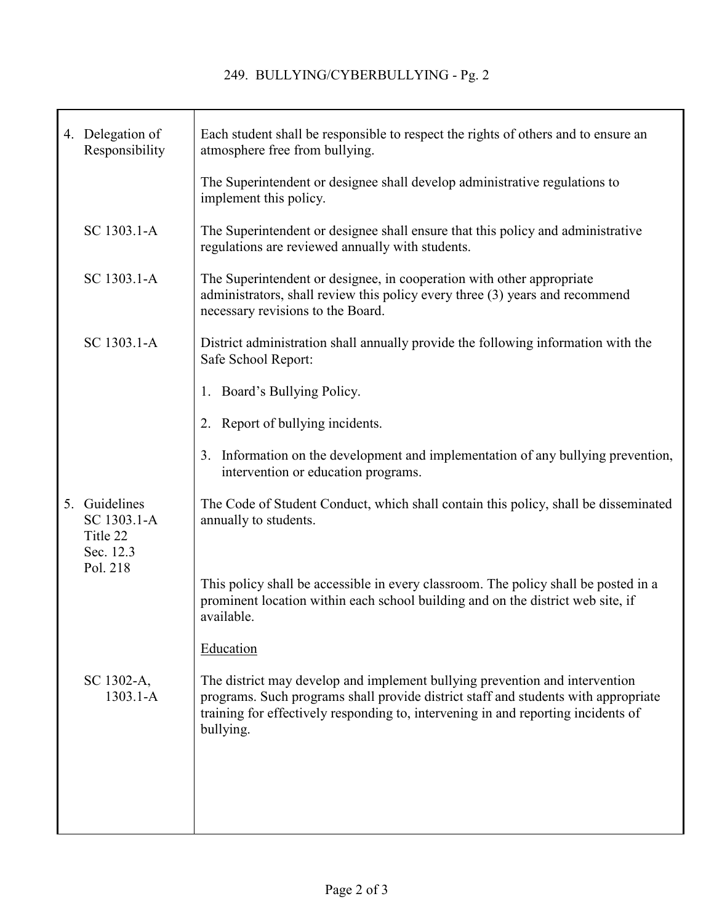|  | 4. Delegation of<br>Responsibility                    | Each student shall be responsible to respect the rights of others and to ensure an<br>atmosphere free from bullying.                                                                                                                                                |
|--|-------------------------------------------------------|---------------------------------------------------------------------------------------------------------------------------------------------------------------------------------------------------------------------------------------------------------------------|
|  |                                                       | The Superintendent or designee shall develop administrative regulations to<br>implement this policy.                                                                                                                                                                |
|  | SC 1303.1-A                                           | The Superintendent or designee shall ensure that this policy and administrative<br>regulations are reviewed annually with students.                                                                                                                                 |
|  | SC 1303.1-A                                           | The Superintendent or designee, in cooperation with other appropriate<br>administrators, shall review this policy every three (3) years and recommend<br>necessary revisions to the Board.                                                                          |
|  | SC 1303.1-A                                           | District administration shall annually provide the following information with the<br>Safe School Report:                                                                                                                                                            |
|  |                                                       | 1. Board's Bullying Policy.                                                                                                                                                                                                                                         |
|  |                                                       | 2. Report of bullying incidents.                                                                                                                                                                                                                                    |
|  |                                                       | Information on the development and implementation of any bullying prevention,<br>3.<br>intervention or education programs.                                                                                                                                          |
|  | 5. Guidelines<br>SC 1303.1-A<br>Title 22<br>Sec. 12.3 | The Code of Student Conduct, which shall contain this policy, shall be disseminated<br>annually to students.                                                                                                                                                        |
|  | Pol. 218                                              | This policy shall be accessible in every classroom. The policy shall be posted in a<br>prominent location within each school building and on the district web site, if<br>available.                                                                                |
|  |                                                       | Education                                                                                                                                                                                                                                                           |
|  | SC 1302-A,<br>$1303.1 - A$                            | The district may develop and implement bullying prevention and intervention<br>programs. Such programs shall provide district staff and students with appropriate<br>training for effectively responding to, intervening in and reporting incidents of<br>bullying. |
|  |                                                       |                                                                                                                                                                                                                                                                     |